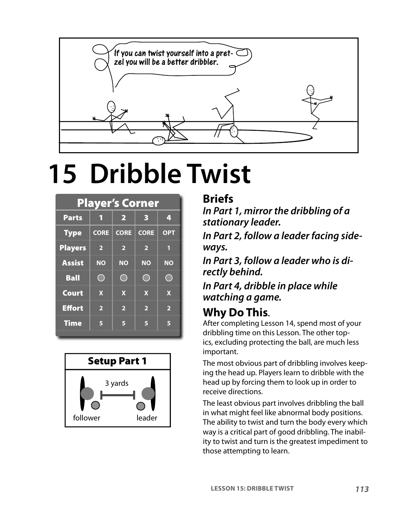

# **15 Dribble Twist**

| <b>Player's Corner</b> |                         |                         |                         |                         |  |
|------------------------|-------------------------|-------------------------|-------------------------|-------------------------|--|
| <b>Parts</b>           | 1                       | $\overline{\mathbf{2}}$ | 3                       | 4                       |  |
| <b>Type</b>            | <b>CORE</b>             | <b>CORE</b>             | <b>CORE</b>             | <b>OPT</b>              |  |
| <b>Players</b>         | $\overline{\mathbf{2}}$ | $\overline{\mathbf{2}}$ | $\overline{2}$          | П                       |  |
| <b>Assist</b>          | <b>NO</b>               | <b>NO</b>               | <b>NO</b>               | <b>NO</b>               |  |
| <b>Ball</b>            | $\rightarrow$           |                         | ۰                       | ۰                       |  |
| <b>Court</b>           | $\mathbf x$             | $\mathbf x$             | $\mathbf x$             | $\mathbf x$             |  |
| <b>Effort</b>          | $\overline{\mathbf{2}}$ | $\overline{\mathbf{2}}$ | $\overline{\mathbf{2}}$ | $\overline{\mathbf{2}}$ |  |
| <b>Time</b>            | 5                       | 6                       | 5                       | 5                       |  |



#### **Briefs**

**In Part 1, mirror the dribbling of a stationary leader.**

**In Part 2, follow a leader facing sideways.**

**In Part 3, follow a leader who is directly behind.**

**In Part 4, dribble in place while watching a game.** 

#### **Why Do This.**

After completing Lesson 14, spend most of your dribbling time on this Lesson. The other topics, excluding protecting the ball, are much less important.

The most obvious part of dribbling involves keeping the head up. Players learn to dribble with the head up by forcing them to look up in order to receive directions.

The least obvious part involves dribbling the ball in what might feel like abnormal body positions. The ability to twist and turn the body every which way is a critical part of good dribbling. The inability to twist and turn is the greatest impediment to those attempting to learn.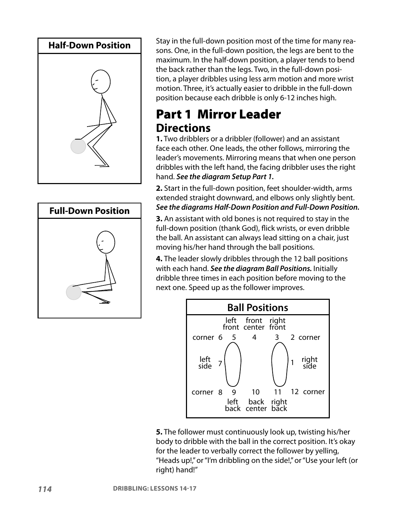



Stay in the full-down position most of the time for many reasons. One, in the full-down position, the legs are bent to the maximum. In the half-down position, a player tends to bend the back rather than the legs. Two, in the full-down position, a player dribbles using less arm motion and more wrist motion. Three, it's actually easier to dribble in the full-down position because each dribble is only 6-12 inches high.

#### Part 1 Mirror Leader **Directions**

**1.** Two dribblers or a dribbler (follower) and an assistant face each other. One leads, the other follows, mirroring the leader's movements. Mirroring means that when one person dribbles with the left hand, the facing dribbler uses the right hand. **See the diagram Setup Part 1.**

**2.** Start in the full-down position, feet shoulder-width, arms extended straight downward, and elbows only slightly bent. **See the diagrams Half-Down Position and Full-Down Position.**

**3.** An assistant with old bones is not required to stay in the full-down position (thank God), flick wrists, or even dribble the ball. An assistant can always lead sitting on a chair, just moving his/her hand through the ball positions.

**4.** The leader slowly dribbles through the 12 ball positions with each hand. **See the diagram Ball Positions.** Initially dribble three times in each position before moving to the next one. Speed up as the follower improves.



**5.** The follower must continuously look up, twisting his/her body to dribble with the ball in the correct position. It's okay for the leader to verbally correct the follower by yelling, "Heads up!," or "I'm dribbling on the side!," or "Use your left (or right) hand!"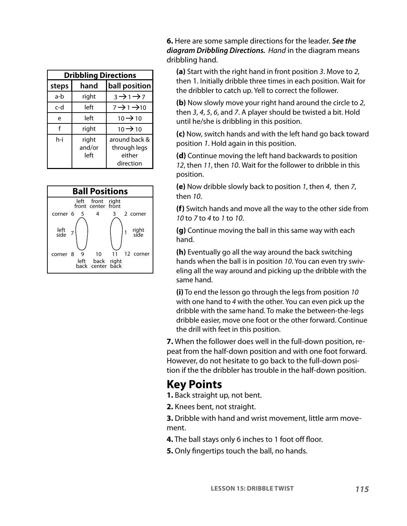| <b>Dribbling Directions</b> |                         |                                                      |  |  |  |
|-----------------------------|-------------------------|------------------------------------------------------|--|--|--|
| steps                       | hand                    | ball position                                        |  |  |  |
| a-b                         | right                   | $3 \rightarrow 1 \rightarrow 7$                      |  |  |  |
| c-d                         | left                    | $7 \rightarrow 1 \rightarrow 10$                     |  |  |  |
| e                           | left                    | $10 \rightarrow 10$                                  |  |  |  |
| f                           | right                   | $10 \rightarrow 10$                                  |  |  |  |
| h-i                         | right<br>and/or<br>left | around back &<br>through legs<br>either<br>direction |  |  |  |



**6.** Here are some sample directions for the leader. **See the diagram Dribbling Directions.** Hand in the diagram means dribbling hand.

**(a)** Start with the right hand in front position 3. Move to 2, then 1. Initially dribble three times in each position. Wait for the dribbler to catch up. Yell to correct the follower.

**(b)** Now slowly move your right hand around the circle to 2, then 3, 4, 5, 6, and 7. A player should be twisted a bit. Hold until he/she is dribbling in this position.

**(c)** Now, switch hands and with the left hand go back toward position 1. Hold again in this position.

**(d)** Continue moving the left hand backwards to position 12, then 11, then 10. Wait for the follower to dribble in this position.

**(e)** Now dribble slowly back to position 1, then 4, then 7, then 10.

**(f)** Switch hands and move all the way to the other side from 10 to 7 to 4 to 1 to 10.

**(g)** Continue moving the ball in this same way with each hand.

**(h)** Eventually go all the way around the back switching hands when the ball is in position 10. You can even try swiveling all the way around and picking up the dribble with the same hand.

**(i)** To end the lesson go through the legs from position 10 with one hand to 4 with the other. You can even pick up the dribble with the same hand. To make the between-the-legs dribble easier, move one foot or the other forward. Continue the drill with feet in this position.

**7.** When the follower does well in the full-down position, repeat from the half-down position and with one foot forward. However, do not hesitate to go back to the full-down position if the the dribbler has trouble in the half-down position.

#### **Key Points**

**1.** Back straight up, not bent.

**2.** Knees bent, not straight.

**3.** Dribble with hand and wrist movement, little arm movement.

- **4.** The ball stays only 6 inches to 1 foot off floor.
- **5.** Only fingertips touch the ball, no hands.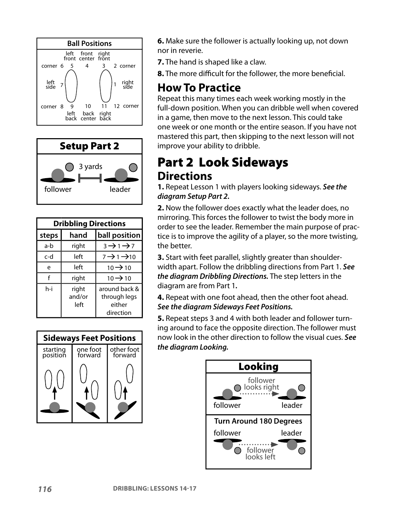



| <b>Dribbling Directions</b> |                         |                                                      |  |  |  |
|-----------------------------|-------------------------|------------------------------------------------------|--|--|--|
| steps                       | hand                    | ball position                                        |  |  |  |
| a-b                         | right                   | $3 \rightarrow 1 \rightarrow 7$                      |  |  |  |
| c-d                         | left                    | $7 \rightarrow 1 \rightarrow 10$                     |  |  |  |
| e                           | left                    | $10 \rightarrow 10$                                  |  |  |  |
| f                           | right                   | $10 \rightarrow 10$                                  |  |  |  |
| h-i                         | right<br>and/or<br>left | around back &<br>through legs<br>either<br>direction |  |  |  |



**6.** Make sure the follower is actually looking up, not down nor in reverie.

**7.** The hand is shaped like a claw.

**8.** The more difficult for the follower, the more beneficial.

#### **How To Practice**

Repeat this many times each week working mostly in the full-down position. When you can dribble well when covered in a game, then move to the next lesson. This could take one week or one month or the entire season. If you have not mastered this part, then skipping to the next lesson will not improve your ability to dribble.

### Part 2 Look Sideways **Directions**

**1.** Repeat Lesson 1 with players looking sideways. **See the diagram Setup Part 2.**

**2.** Now the follower does exactly what the leader does, no mirroring. This forces the follower to twist the body more in order to see the leader. Remember the main purpose of practice is to improve the agility of a player, so the more twisting, the better.

**3.** Start with feet parallel, slightly greater than shoulderwidth apart. Follow the dribbling directions from Part 1. **See the diagram Dribbling Directions.** The step letters in the diagram are from Part 1**.**

**4.** Repeat with one foot ahead, then the other foot ahead. **See the diagram Sideways Feet Positions.**

**5.** Repeat steps 3 and 4 with both leader and follower turning around to face the opposite direction. The follower must now look in the other direction to follow the visual cues. **See the diagram Looking.**